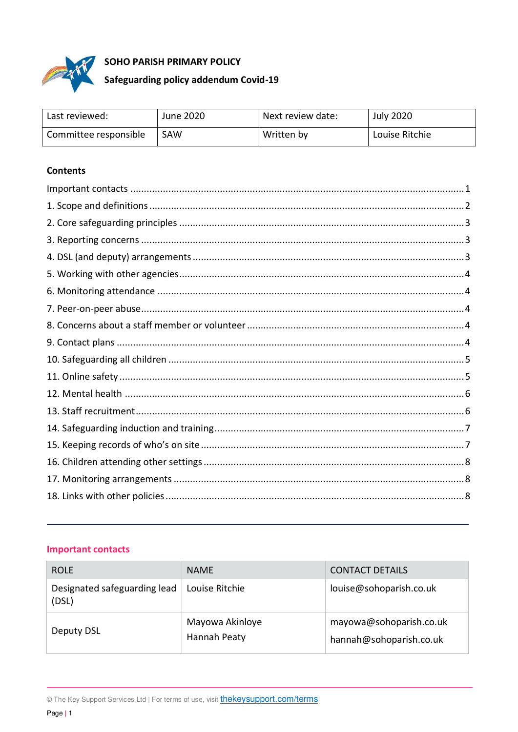

## SOHO PARISH PRIMARY POLICY

# Safeguarding policy addendum Covid-19

| Last reviewed:        | June 2020 | Next review date: | <b>July 2020</b> |
|-----------------------|-----------|-------------------|------------------|
| Committee responsible | SAW       | Written by        | Louise Ritchie   |

## **Contents**

#### <span id="page-0-0"></span>**Important contacts**

| <b>ROLE</b>                           | <b>NAME</b>                     | <b>CONTACT DETAILS</b>                             |
|---------------------------------------|---------------------------------|----------------------------------------------------|
| Designated safeguarding lead<br>(DSL) | Louise Ritchie                  | louise@sohoparish.co.uk                            |
| Deputy DSL                            | Mayowa Akinloye<br>Hannah Peaty | mayowa@sohoparish.co.uk<br>hannah@sohoparish.co.uk |

<sup>©</sup> The Key Support Services Ltd | For terms of use, visit *thekeysupport.com/terms*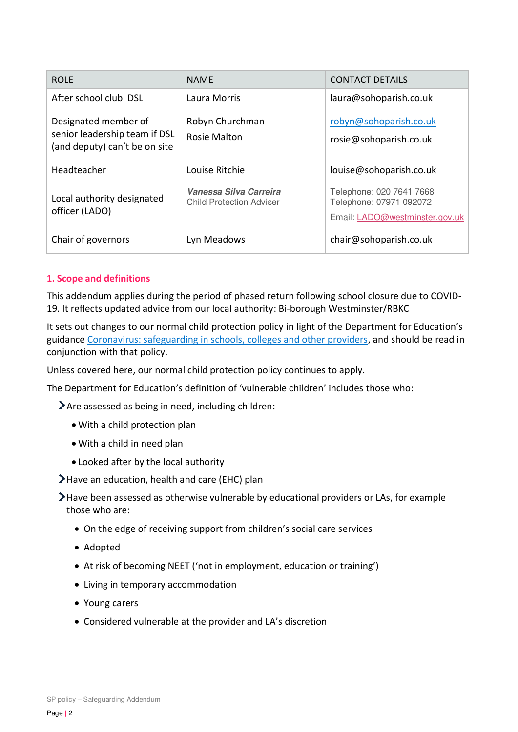| <b>ROLE</b>                                                                            | <b>NAME</b>                                               | <b>CONTACT DETAILS</b>                                                                |
|----------------------------------------------------------------------------------------|-----------------------------------------------------------|---------------------------------------------------------------------------------------|
| After school club DSL                                                                  | Laura Morris                                              | laura@sohoparish.co.uk                                                                |
| Designated member of<br>senior leadership team if DSL<br>(and deputy) can't be on site | Robyn Churchman<br>Rosie Malton                           | robyn@sohoparish.co.uk<br>rosie@sohoparish.co.uk                                      |
| Headteacher                                                                            | Louise Ritchie                                            | louise@sohoparish.co.uk                                                               |
| Local authority designated<br>officer (LADO)                                           | Vanessa Silva Carreira<br><b>Child Protection Adviser</b> | Telephone: 020 7641 7668<br>Telephone: 07971 092072<br>Email: LADO@westminster.gov.uk |
| Chair of governors                                                                     | Lyn Meadows                                               | chair@sohoparish.co.uk                                                                |

## <span id="page-1-0"></span>**1. Scope and definitions**

This addendum applies during the period of phased return following school closure due to COVID-19. It reflects updated advice from our local authority: Bi-borough Westminster/RBKC

It sets out changes to our normal child protection policy in light of the Department for Education's guidance [Coronavirus: safeguarding in schools, colleges and other providers,](https://www.gov.uk/government/publications/covid-19-safeguarding-in-schools-colleges-and-other-providers) and should be read in conjunction with that policy.

Unless covered here, our normal child protection policy continues to apply.

The Department for Education's definition of 'vulnerable children' includes those who:

Are assessed as being in need, including children:

- With a child protection plan
- With a child in need plan
- Looked after by the local authority
- Have an education, health and care (EHC) plan

Have been assessed as otherwise vulnerable by educational providers or LAs, for example those who are:

- On the edge of receiving support from children's social care services
- Adopted
- At risk of becoming NEET ('not in employment, education or training')
- Living in temporary accommodation
- Young carers
- <span id="page-1-1"></span>Considered vulnerable at the provider and LA's discretion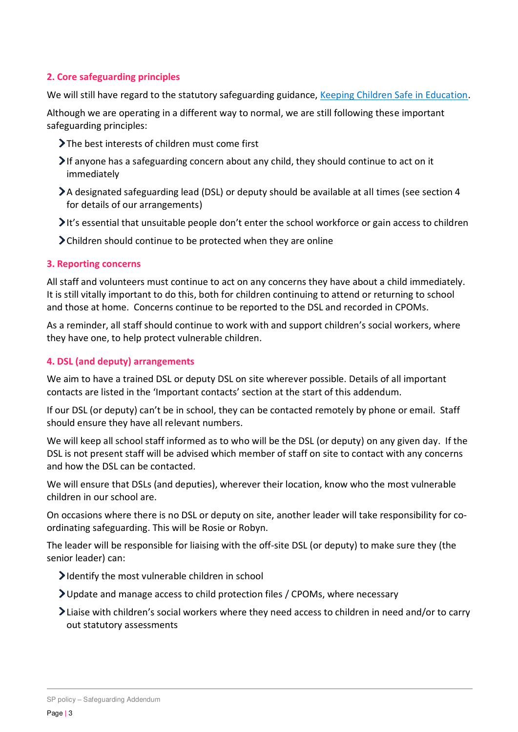## **2. Core safeguarding principles**

We will still have regard to the statutory safeguarding guidance, [Keeping Children Safe in Education.](https://www.gov.uk/government/publications/keeping-children-safe-in-education--2)

Although we are operating in a different way to normal, we are still following these important safeguarding principles:

- The best interests of children must come first
- If anyone has a safeguarding concern about any child, they should continue to act on it immediately
- A designated safeguarding lead (DSL) or deputy should be available at all times (see section 4 for details of our arrangements)
- It's essential that unsuitable people don't enter the school workforce or gain access to children
- Children should continue to be protected when they are online

#### <span id="page-2-0"></span>**3. Reporting concerns**

All staff and volunteers must continue to act on any concerns they have about a child immediately. It is still vitally important to do this, both for children continuing to attend or returning to school and those at home. Concerns continue to be reported to the DSL and recorded in CPOMs.

As a reminder, all staff should continue to work with and support children's social workers, where they have one, to help protect vulnerable children.

## <span id="page-2-1"></span>**4. DSL (and deputy) arrangements**

We aim to have a trained DSL or deputy DSL on site wherever possible. Details of all important contacts are listed in the 'Important contacts' section at the start of this addendum.

If our DSL (or deputy) can't be in school, they can be contacted remotely by phone or email. Staff should ensure they have all relevant numbers.

We will keep all school staff informed as to who will be the DSL (or deputy) on any given day. If the DSL is not present staff will be advised which member of staff on site to contact with any concerns and how the DSL can be contacted.

We will ensure that DSLs (and deputies), wherever their location, know who the most vulnerable children in our school are.

On occasions where there is no DSL or deputy on site, another leader will take responsibility for coordinating safeguarding. This will be Rosie or Robyn.

The leader will be responsible for liaising with the off-site DSL (or deputy) to make sure they (the senior leader) can:

- $\blacktriangleright$  Identify the most vulnerable children in school
- Update and manage access to child protection files / CPOMs, where necessary
- <span id="page-2-2"></span>Liaise with children's social workers where they need access to children in need and/or to carry out statutory assessments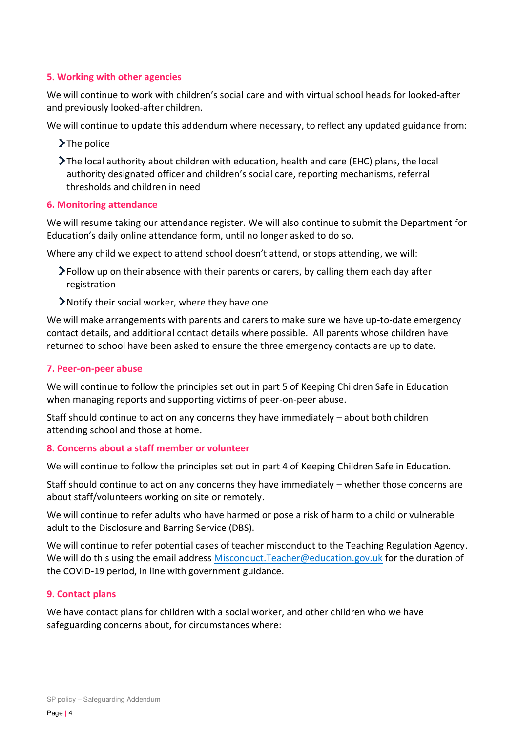## **5. Working with other agencies**

We will continue to work with children's social care and with virtual school heads for looked-after and previously looked-after children.

We will continue to update this addendum where necessary, to reflect any updated guidance from:

- $\sum$  The police
- The local authority about children with education, health and care (EHC) plans, the local authority designated officer and children's social care, reporting mechanisms, referral thresholds and children in need

#### <span id="page-3-0"></span>**6. Monitoring attendance**

We will resume taking our attendance register. We will also continue to submit the Department for Education's daily online attendance form, until no longer asked to do so.

Where any child we expect to attend school doesn't attend, or stops attending, we will:

- Follow up on their absence with their parents or carers, by calling them each day after registration
- Notify their social worker, where they have one

We will make arrangements with parents and carers to make sure we have up-to-date emergency contact details, and additional contact details where possible. All parents whose children have returned to school have been asked to ensure the three emergency contacts are up to date.

#### <span id="page-3-1"></span>**7. Peer-on-peer abuse**

We will continue to follow the principles set out in part 5 of Keeping Children Safe in Education when managing reports and supporting victims of peer-on-peer abuse.

Staff should continue to act on any concerns they have immediately – about both children attending school and those at home.

## <span id="page-3-2"></span>**8. Concerns about a staff member or volunteer**

We will continue to follow the principles set out in part 4 of Keeping Children Safe in Education.

Staff should continue to act on any concerns they have immediately – whether those concerns are about staff/volunteers working on site or remotely.

We will continue to refer adults who have harmed or pose a risk of harm to a child or vulnerable adult to the Disclosure and Barring Service (DBS).

We will continue to refer potential cases of teacher misconduct to the Teaching Regulation Agency. We will do this using the email address [Misconduct.Teacher@education.gov.uk](mailto:Misconduct.Teacher@education.gov.uk) for the duration of the COVID-19 period, in line with government guidance.

## <span id="page-3-3"></span>**9. Contact plans**

We have contact plans for children with a social worker, and other children who we have safeguarding concerns about, for circumstances where: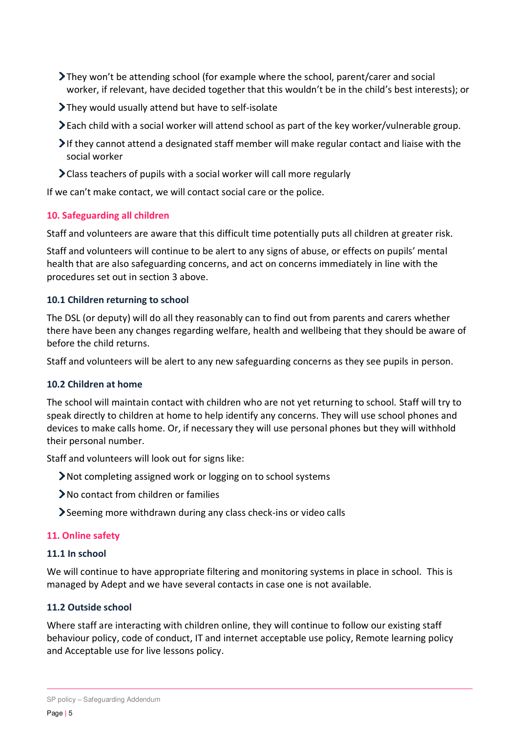- They won't be attending school (for example where the school, parent/carer and social worker, if relevant, have decided together that this wouldn't be in the child's best interests); or
- They would usually attend but have to self-isolate
- Each child with a social worker will attend school as part of the key worker/vulnerable group.
- If they cannot attend a designated staff member will make regular contact and liaise with the social worker
- Class teachers of pupils with a social worker will call more regularly

If we can't make contact, we will contact social care or the police.

#### <span id="page-4-0"></span>**10. Safeguarding all children**

Staff and volunteers are aware that this difficult time potentially puts all children at greater risk.

Staff and volunteers will continue to be alert to any signs of abuse, or effects on pupils' mental health that are also safeguarding concerns, and act on concerns immediately in line with the procedures set out in section 3 above.

#### **10.1 Children returning to school**

The DSL (or deputy) will do all they reasonably can to find out from parents and carers whether there have been any changes regarding welfare, health and wellbeing that they should be aware of before the child returns.

Staff and volunteers will be alert to any new safeguarding concerns as they see pupils in person.

#### **10.2 Children at home**

The school will maintain contact with children who are not yet returning to school. Staff will try to speak directly to children at home to help identify any concerns. They will use school phones and devices to make calls home. Or, if necessary they will use personal phones but they will withhold their personal number.

Staff and volunteers will look out for signs like:

- Not completing assigned work or logging on to school systems
- No contact from children or families
- Seeming more withdrawn during any class check-ins or video calls

#### <span id="page-4-1"></span>**11. Online safety**

#### **11.1 In school**

We will continue to have appropriate filtering and monitoring systems in place in school. This is managed by Adept and we have several contacts in case one is not available.

#### **11.2 Outside school**

Where staff are interacting with children online, they will continue to follow our existing staff behaviour policy, code of conduct, IT and internet acceptable use policy, Remote learning policy and Acceptable use for live lessons policy.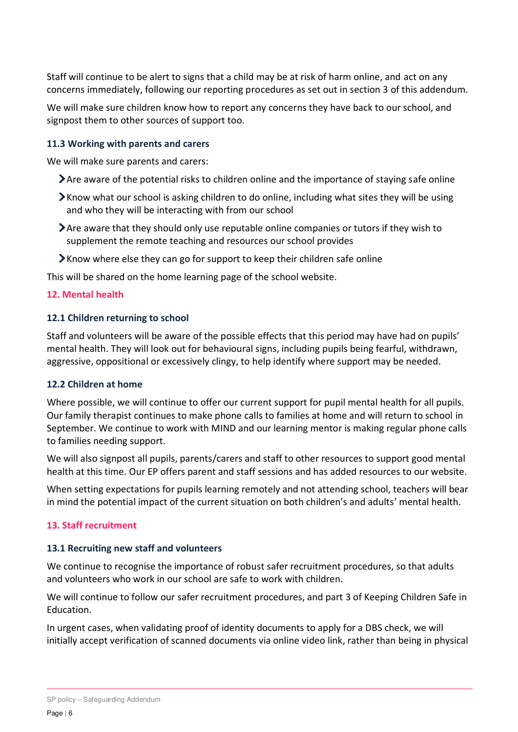Staff will continue to be alert to signs that a child may be at risk of harm online, and act on any concerns immediately, following our reporting procedures as set out in section 3 of this addendum.

We will make sure children know how to report any concerns they have back to our school, and signpost them to other sources of support too.

## **11.3 Working with parents and carers**

We will make sure parents and carers:

- Are aware of the potential risks to children online and the importance of staying safe online
- $\blacktriangleright$  Know what our school is asking children to do online, including what sites they will be using and who they will be interacting with from our school
- Are aware that they should only use reputable online companies or tutors if they wish to supplement the remote teaching and resources our school provides
- Know where else they can go for support to keep their children safe online

This will be shared on the home learning page of the school website.

#### <span id="page-5-0"></span>**12. Mental health**

#### **12.1 Children returning to school**

Staff and volunteers will be aware of the possible effects that this period may have had on pupils' mental health. They will look out for behavioural signs, including pupils being fearful, withdrawn, aggressive, oppositional or excessively clingy, to help identify where support may be needed.

## **12.2 Children at home**

Where possible, we will continue to offer our current support for pupil mental health for all pupils. Our family therapist continues to make phone calls to families at home and will return to school in September. We continue to work with MIND and our learning mentor is making regular phone calls to families needing support.

We will also signpost all pupils, parents/carers and staff to other resources to support good mental health at this time. Our EP offers parent and staff sessions and has added resources to our website.

When setting expectations for pupils learning remotely and not attending school, teachers will bear in mind the potential impact of the current situation on both children's and adults' mental health.

## <span id="page-5-1"></span>**13. Staff recruitment**

#### **13.1 Recruiting new staff and volunteers**

We continue to recognise the importance of robust safer recruitment procedures, so that adults and volunteers who work in our school are safe to work with children.

We will continue to follow our safer recruitment procedures, and part 3 of Keeping Children Safe in Education.

In urgent cases, when validating proof of identity documents to apply for a DBS check, we will initially accept verification of scanned documents via online video link, rather than being in physical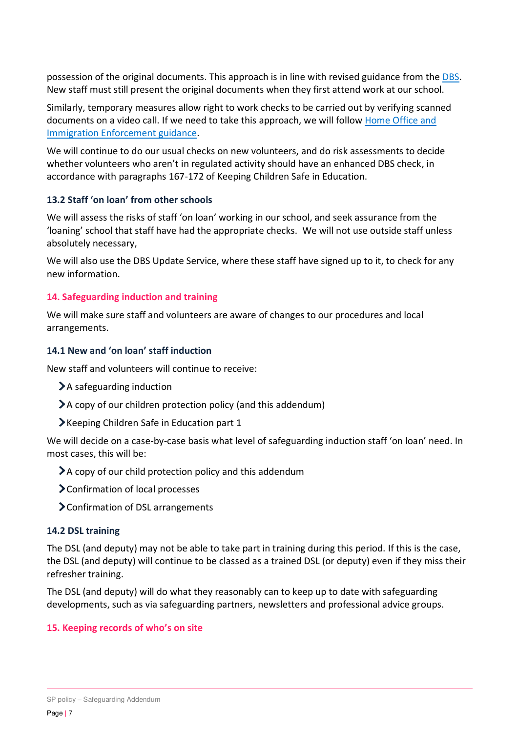possession of the original documents. This approach is in line with revised guidance from the [DBS.](https://www.gov.uk/government/news/covid-19-changes-to-dbs-id-checking-guidelines) New staff must still present the original documents when they first attend work at our school.

Similarly, temporary measures allow right to work checks to be carried out by verifying scanned documents on a video call. If we need to take this approach, we will follow [Home Office and](https://www.gov.uk/guidance/coronavirus-covid-19-right-to-work-checks)  [Immigration Enforcement guidance.](https://www.gov.uk/guidance/coronavirus-covid-19-right-to-work-checks)

We will continue to do our usual checks on new volunteers, and do risk assessments to decide whether volunteers who aren't in regulated activity should have an enhanced DBS check, in accordance with paragraphs 167-172 of Keeping Children Safe in Education.

## **13.2 Staff 'on loan' from other schools**

We will assess the risks of staff 'on loan' working in our school, and seek assurance from the 'loaning' school that staff have had the appropriate checks. We will not use outside staff unless absolutely necessary,

We will also use the DBS Update Service, where these staff have signed up to it, to check for any new information.

#### <span id="page-6-0"></span>**14. Safeguarding induction and training**

We will make sure staff and volunteers are aware of changes to our procedures and local arrangements.

#### **14.1 New and 'on loan' staff induction**

New staff and volunteers will continue to receive:

- A safeguarding induction
- A copy of our children protection policy (and this addendum)
- Keeping Children Safe in Education part 1

We will decide on a case-by-case basis what level of safeguarding induction staff 'on loan' need. In most cases, this will be:

- A copy of our child protection policy and this addendum
- Confirmation of local processes
- Confirmation of DSL arrangements

#### **14.2 DSL training**

The DSL (and deputy) may not be able to take part in training during this period. If this is the case, the DSL (and deputy) will continue to be classed as a trained DSL (or deputy) even if they miss their refresher training.

The DSL (and deputy) will do what they reasonably can to keep up to date with safeguarding developments, such as via safeguarding partners, newsletters and professional advice groups.

## <span id="page-6-1"></span>**15. Keeping records of who's on site**